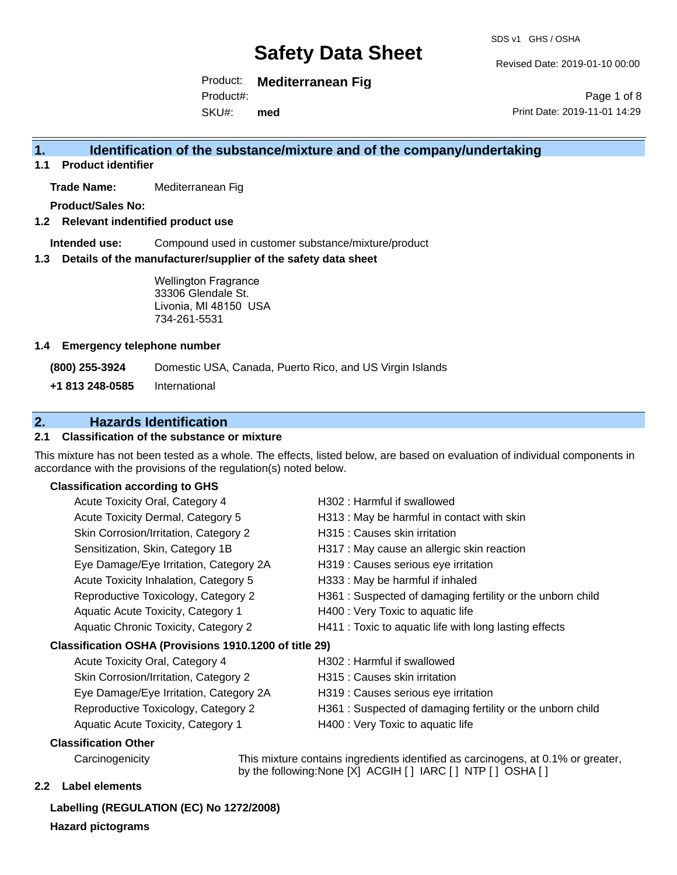SDS v1 GHS / OSHA

Revised Date: 2019-01-10 00:00

Product: **Mediterranean Fig** Product#:

SKU#: **med**

Page 1 of 8 Print Date: 2019-11-01 14:29

### **1. Identification of the substance/mixture and of the company/undertaking**

**1.1 Product identifier**

**Trade Name:** Mediterranean Fig

**Product/Sales No:**

**1.2 Relevant indentified product use**

**Intended use:** Compound used in customer substance/mixture/product

**1.3 Details of the manufacturer/supplier of the safety data sheet**

Wellington Fragrance 33306 Glendale St. Livonia, MI 48150 USA 734-261-5531

#### **1.4 Emergency telephone number**

**(800) 255-3924** Domestic USA, Canada, Puerto Rico, and US Virgin Islands

**+1 813 248-0585** International

### **2. Hazards Identification**

#### **2.1 Classification of the substance or mixture**

This mixture has not been tested as a whole. The effects, listed below, are based on evaluation of individual components in accordance with the provisions of the regulation(s) noted below.

#### **Classification according to GHS**

| Acute Toxicity Oral, Category 4                        | H302 : Harmful if swallowed                                |
|--------------------------------------------------------|------------------------------------------------------------|
| Acute Toxicity Dermal, Category 5                      | H313 : May be harmful in contact with skin                 |
| Skin Corrosion/Irritation, Category 2                  | H315 : Causes skin irritation                              |
| Sensitization, Skin, Category 1B                       | H317 : May cause an allergic skin reaction                 |
| Eye Damage/Eye Irritation, Category 2A                 | H319 : Causes serious eye irritation                       |
| Acute Toxicity Inhalation, Category 5                  | H333: May be harmful if inhaled                            |
| Reproductive Toxicology, Category 2                    | H361 : Suspected of damaging fertility or the unborn child |
| Aquatic Acute Toxicity, Category 1                     | H400 : Very Toxic to aquatic life                          |
| Aquatic Chronic Toxicity, Category 2                   | H411 : Toxic to aquatic life with long lasting effects     |
| Classification OSHA (Provisions 1910.1200 of title 29) |                                                            |
| Acute Toxicity Oral, Category 4                        | H302 : Harmful if swallowed                                |
| Skin Corrosion/Irritation, Category 2                  | H315 : Causes skin irritation                              |
| Eye Damage/Eye Irritation, Category 2A                 | H319 : Causes serious eye irritation                       |
|                                                        |                                                            |

- Reproductive Toxicology, Category 2 H361 : Suspected of damaging fertility or the unborn child
- Aquatic Acute Toxicity, Category 1 H400 : Very Toxic to aquatic life

#### **Classification Other**

Carcinogenicity This mixture contains ingredients identified as carcinogens, at 0.1% or greater, by the following:None [X] ACGIH [ ] IARC [ ] NTP [ ] OSHA [ ]

#### **2.2 Label elements**

**Labelling (REGULATION (EC) No 1272/2008) Hazard pictograms**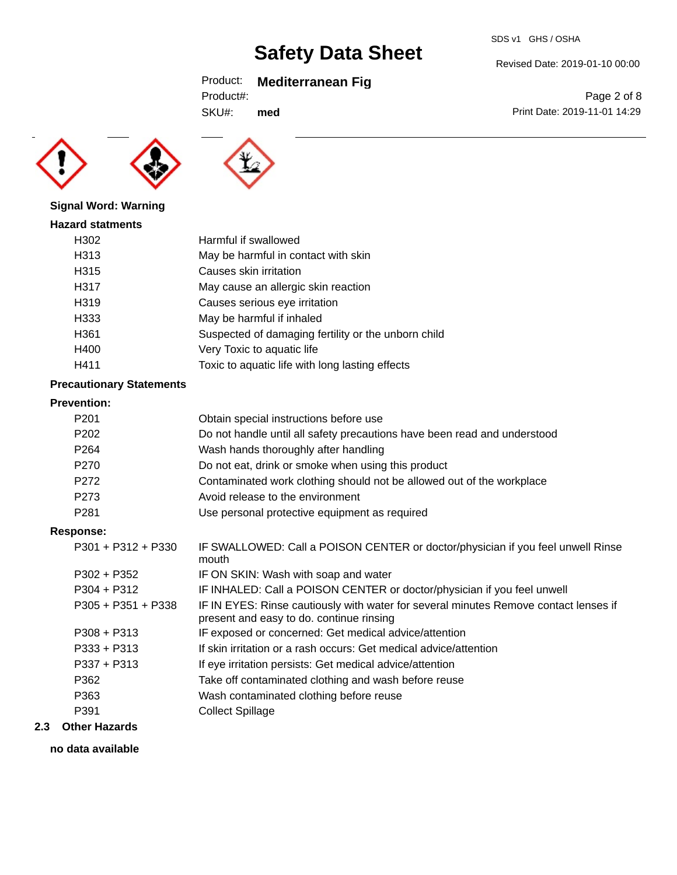## Product: **Mediterranean Fig**

SKU#: **med**





### **Signal Word: Warning** Ha.

| ızard statments |                                                     |
|-----------------|-----------------------------------------------------|
| H302            | Harmful if swallowed                                |
| H313            | May be harmful in contact with skin                 |
| H315            | Causes skin irritation                              |
| H317            | May cause an allergic skin reaction                 |
| H319            | Causes serious eye irritation                       |
| H333            | May be harmful if inhaled                           |
| H361            | Suspected of damaging fertility or the unborn child |
| H400            | Very Toxic to aquatic life                          |
| H411            | Toxic to aquatic life with long lasting effects     |
|                 |                                                     |

### **Precautionary Statements**

#### **Prevention:**

|     | P <sub>201</sub>     | Obtain special instructions before use                                                                                           |
|-----|----------------------|----------------------------------------------------------------------------------------------------------------------------------|
|     |                      |                                                                                                                                  |
|     | P <sub>202</sub>     | Do not handle until all safety precautions have been read and understood                                                         |
|     | P <sub>264</sub>     | Wash hands thoroughly after handling                                                                                             |
|     | P270                 | Do not eat, drink or smoke when using this product                                                                               |
|     | P272                 | Contaminated work clothing should not be allowed out of the workplace                                                            |
|     | P273                 | Avoid release to the environment                                                                                                 |
|     | P <sub>281</sub>     | Use personal protective equipment as required                                                                                    |
|     | <b>Response:</b>     |                                                                                                                                  |
|     | $P301 + P312 + P330$ | IF SWALLOWED: Call a POISON CENTER or doctor/physician if you feel unwell Rinse<br>mouth                                         |
|     | $P302 + P352$        | IF ON SKIN: Wash with soap and water                                                                                             |
|     | $P304 + P312$        | IF INHALED: Call a POISON CENTER or doctor/physician if you feel unwell                                                          |
|     | $P305 + P351 + P338$ | IF IN EYES: Rinse cautiously with water for several minutes Remove contact lenses if<br>present and easy to do. continue rinsing |
|     | $P308 + P313$        | IF exposed or concerned: Get medical advice/attention                                                                            |
|     | $P333 + P313$        | If skin irritation or a rash occurs: Get medical advice/attention                                                                |
|     | $P337 + P313$        | If eye irritation persists: Get medical advice/attention                                                                         |
|     | P362                 | Take off contaminated clothing and wash before reuse                                                                             |
|     | P363                 | Wash contaminated clothing before reuse                                                                                          |
|     | P391                 | <b>Collect Spillage</b>                                                                                                          |
| 2.3 | <b>Other Hazards</b> |                                                                                                                                  |

### **no data available**

Revised Date: 2019-01-10 00:00

Page 2 of 8 Print Date: 2019-11-01 14:29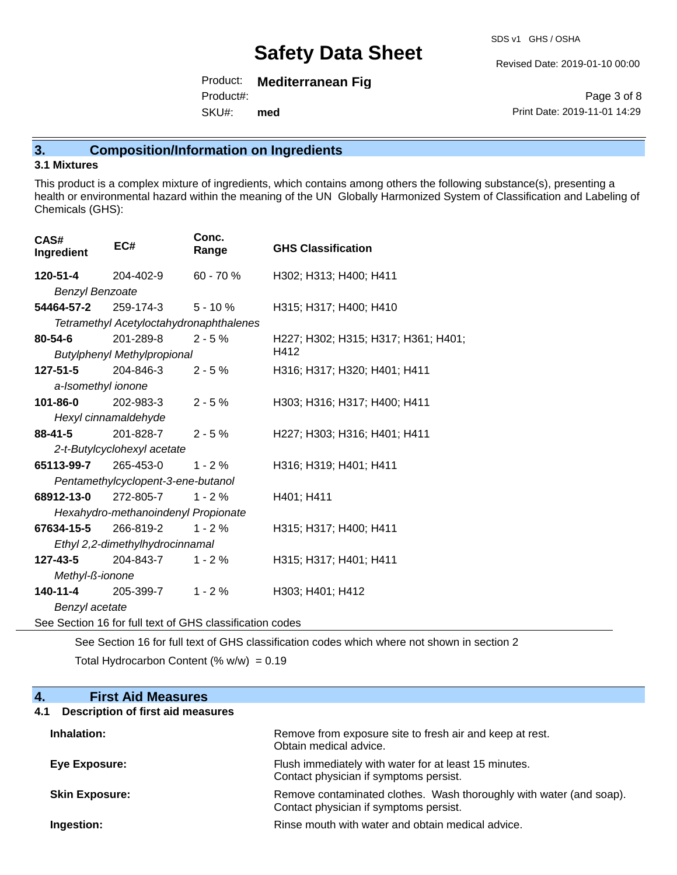SDS v1 GHS / OSHA

Revised Date: 2019-01-10 00:00

Product: **Mediterranean Fig** Product#:

SKU#: **med**

Page 3 of 8 Print Date: 2019-11-01 14:29

## **3. Composition/Information on Ingredients**

#### **3.1 Mixtures**

This product is a complex mixture of ingredients, which contains among others the following substance(s), presenting a health or environmental hazard within the meaning of the UN Globally Harmonized System of Classification and Labeling of Chemicals (GHS):

| CAS#<br>Ingredient                                       | EC#                                     | Conc.<br>Range | <b>GHS Classification</b>           |  |
|----------------------------------------------------------|-----------------------------------------|----------------|-------------------------------------|--|
| <b>120-51-4</b> 204-402-9                                |                                         | 60 - 70 %      | H302; H313; H400; H411              |  |
| <b>Benzyl Benzoate</b>                                   |                                         |                |                                     |  |
|                                                          | <b>54464-57-2</b> 259-174-3             | $5 - 10%$      | H315; H317; H400; H410              |  |
|                                                          | Tetramethyl Acetyloctahydronaphthalenes |                |                                     |  |
| $80 - 54 - 6$                                            | 201-289-8                               | $2 - 5%$       | H227; H302; H315; H317; H361; H401; |  |
|                                                          | <b>Butylphenyl Methylpropional</b>      |                | H412                                |  |
|                                                          | <b>127-51-5</b> 204-846-3               | $2 - 5%$       | H316; H317; H320; H401; H411        |  |
| a-Isomethyl ionone                                       |                                         |                |                                     |  |
| 101-86-0                                                 | 202-983-3                               | $2 - 5%$       | H303; H316; H317; H400; H411        |  |
|                                                          | Hexyl cinnamaldehyde                    |                |                                     |  |
| 88-41-5                                                  | $201 - 828 - 7$ 2 - 5 %                 |                | H227; H303; H316; H401; H411        |  |
|                                                          | 2-t-Butylcyclohexyl acetate             |                |                                     |  |
|                                                          | <b>65113-99-7</b> 265-453-0             | $1 - 2 \%$     | H316; H319; H401; H411              |  |
|                                                          | Pentamethylcyclopent-3-ene-butanol      |                |                                     |  |
| 68912-13-0 272-805-7                                     |                                         | $1 - 2%$       | H401; H411                          |  |
|                                                          | Hexahydro-methanoindenyl Propionate     |                |                                     |  |
| 67634-15-5                                               | 266-819-2                               | $1 - 2%$       | H315; H317; H400; H411              |  |
| Ethyl 2,2-dimethylhydrocinnamal                          |                                         |                |                                     |  |
| <b>127-43-5</b> 204-843-7                                |                                         | $1 - 2%$       | H315; H317; H401; H411              |  |
| Methyl-ß-ionone                                          |                                         |                |                                     |  |
|                                                          | $140-11-4$ 205-399-7 1 - 2 %            |                | H303; H401; H412                    |  |
| Benzyl acetate                                           |                                         |                |                                     |  |
| See Section 16 for full text of GHS classification codes |                                         |                |                                     |  |

See Section 16 for full text of GHS classification codes which where not shown in section 2

Total Hydrocarbon Content (%  $w/w$ ) = 0.19

#### **4. First Aid Measures 4.1 Description of first aid measures**

| Inhalation:           | Remove from exposure site to fresh air and keep at rest.<br>Obtain medical advice.                            |
|-----------------------|---------------------------------------------------------------------------------------------------------------|
| Eye Exposure:         | Flush immediately with water for at least 15 minutes.<br>Contact physician if symptoms persist.               |
| <b>Skin Exposure:</b> | Remove contaminated clothes. Wash thoroughly with water (and soap).<br>Contact physician if symptoms persist. |
| Ingestion:            | Rinse mouth with water and obtain medical advice.                                                             |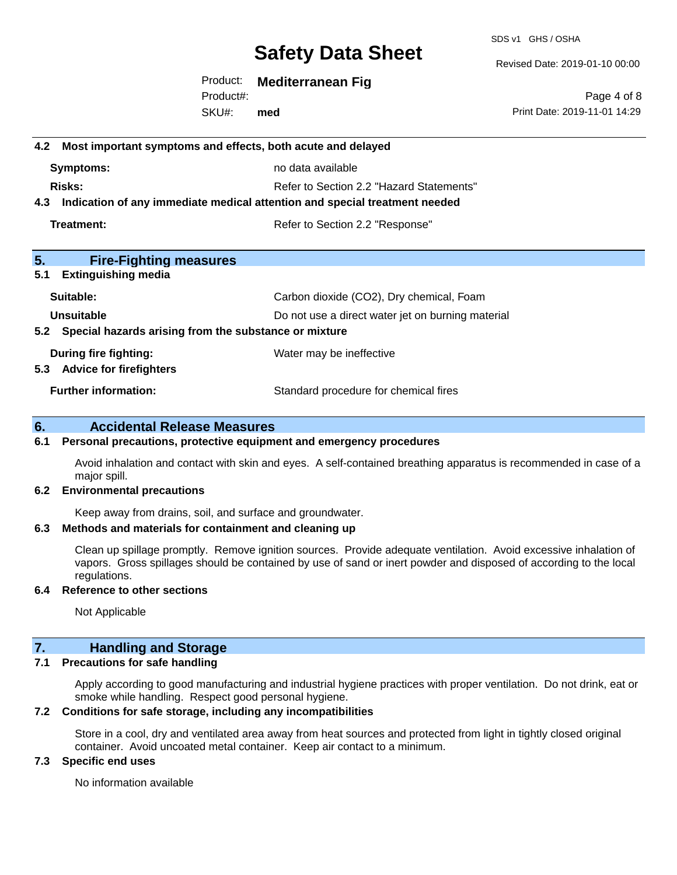SDS v1 GHS / OSHA

Revised Date: 2019-01-10 00:00

Product: **Mediterranean Fig** SKU#: Product#: **med**

Page 4 of 8 Print Date: 2019-11-01 14:29

# **4.2 Most important symptoms and effects, both acute and delayed Symptoms:** no data available **Risks:** Risks: Refer to Section 2.2 "Hazard Statements" **4.3 Indication of any immediate medical attention and special treatment needed Treatment:** Treatment: Treatment: Refer to Section 2.2 "Response" **5. Fire-Fighting measures 5.1 Extinguishing media** Suitable: Carbon dioxide (CO2), Dry chemical, Foam **Unsuitable** Do not use a direct water jet on burning material **5.2 Special hazards arising from the substance or mixture During fire fighting:** Water may be ineffective **5.3 Advice for firefighters Further information:** Standard procedure for chemical fires

#### **6. Accidental Release Measures**

#### **6.1 Personal precautions, protective equipment and emergency procedures**

Avoid inhalation and contact with skin and eyes. A self-contained breathing apparatus is recommended in case of a major spill.

#### **6.2 Environmental precautions**

Keep away from drains, soil, and surface and groundwater.

#### **6.3 Methods and materials for containment and cleaning up**

Clean up spillage promptly. Remove ignition sources. Provide adequate ventilation. Avoid excessive inhalation of vapors. Gross spillages should be contained by use of sand or inert powder and disposed of according to the local regulations.

#### **6.4 Reference to other sections**

Not Applicable

#### **7. Handling and Storage**

#### **7.1 Precautions for safe handling**

Apply according to good manufacturing and industrial hygiene practices with proper ventilation. Do not drink, eat or smoke while handling. Respect good personal hygiene.

#### **7.2 Conditions for safe storage, including any incompatibilities**

Store in a cool, dry and ventilated area away from heat sources and protected from light in tightly closed original container. Avoid uncoated metal container. Keep air contact to a minimum.

#### **7.3 Specific end uses**

No information available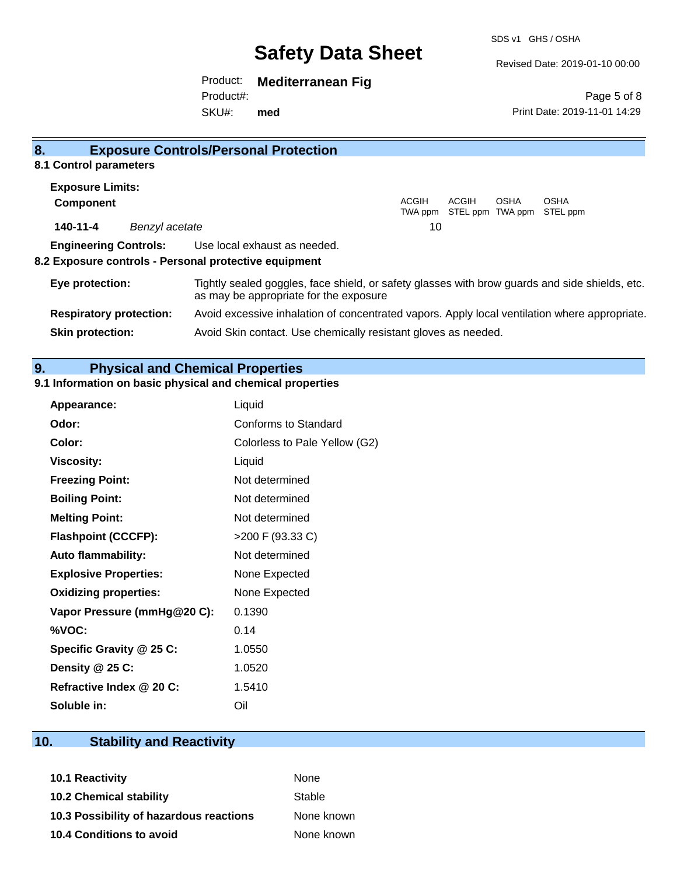Revised Date: 2019-01-10 00:00

Print Date: 2019-11-01 14:29

Page 5 of 8

Product: **Mediterranean Fig**

SKU#: Product#: **med**

| 8.                      |                | <b>Exposure Controls/Personal Protection</b>                                                                       |                                                                                                                                          |                           |      |                         |  |
|-------------------------|----------------|--------------------------------------------------------------------------------------------------------------------|------------------------------------------------------------------------------------------------------------------------------------------|---------------------------|------|-------------------------|--|
| 8.1 Control parameters  |                |                                                                                                                    |                                                                                                                                          |                           |      |                         |  |
| <b>Exposure Limits:</b> |                |                                                                                                                    |                                                                                                                                          |                           |      |                         |  |
| Component               |                |                                                                                                                    | ACGIH<br>TWA ppm                                                                                                                         | ACGIH<br>STEL ppm TWA ppm | OSHA | <b>OSHA</b><br>STEL ppm |  |
| 140-11-4                | Benzyl acetate |                                                                                                                    | 10                                                                                                                                       |                           |      |                         |  |
|                         |                | <b>Engineering Controls:</b> Use local exhaust as needed.<br>8.2 Exposure controls - Personal protective equipment |                                                                                                                                          |                           |      |                         |  |
| Eye protection:         |                |                                                                                                                    | Tightly sealed goggles, face shield, or safety glasses with brow guards and side shields, etc.<br>as may be appropriate for the exposure |                           |      |                         |  |

|                                | ab may be appropriate for the expective                                                       |
|--------------------------------|-----------------------------------------------------------------------------------------------|
| <b>Respiratory protection:</b> | Avoid excessive inhalation of concentrated vapors. Apply local ventilation where appropriate. |
| <b>Skin protection:</b>        | Avoid Skin contact. Use chemically resistant gloves as needed.                                |

### **9. Physical and Chemical Properties**

#### **9.1 Information on basic physical and chemical properties**

| Appearance:                  | Liquid                        |
|------------------------------|-------------------------------|
| Odor:                        | Conforms to Standard          |
| Color:                       | Colorless to Pale Yellow (G2) |
| <b>Viscosity:</b>            | Liquid                        |
| <b>Freezing Point:</b>       | Not determined                |
| <b>Boiling Point:</b>        | Not determined                |
| <b>Melting Point:</b>        | Not determined                |
| <b>Flashpoint (CCCFP):</b>   | >200 F (93.33 C)              |
| <b>Auto flammability:</b>    | Not determined                |
| <b>Explosive Properties:</b> | None Expected                 |
| <b>Oxidizing properties:</b> | None Expected                 |
| Vapor Pressure (mmHg@20 C):  | 0.1390                        |
| %VOC:                        | 0.14                          |
| Specific Gravity @ 25 C:     | 1.0550                        |
| Density @ 25 C:              | 1.0520                        |
| Refractive Index @ 20 C:     | 1.5410                        |
| Soluble in:                  | Oil                           |

### **10. Stability and Reactivity**

| <b>10.1 Reactivity</b>                  | <b>None</b> |
|-----------------------------------------|-------------|
| <b>10.2 Chemical stability</b>          | Stable      |
| 10.3 Possibility of hazardous reactions | None known  |
| <b>10.4 Conditions to avoid</b>         | None known  |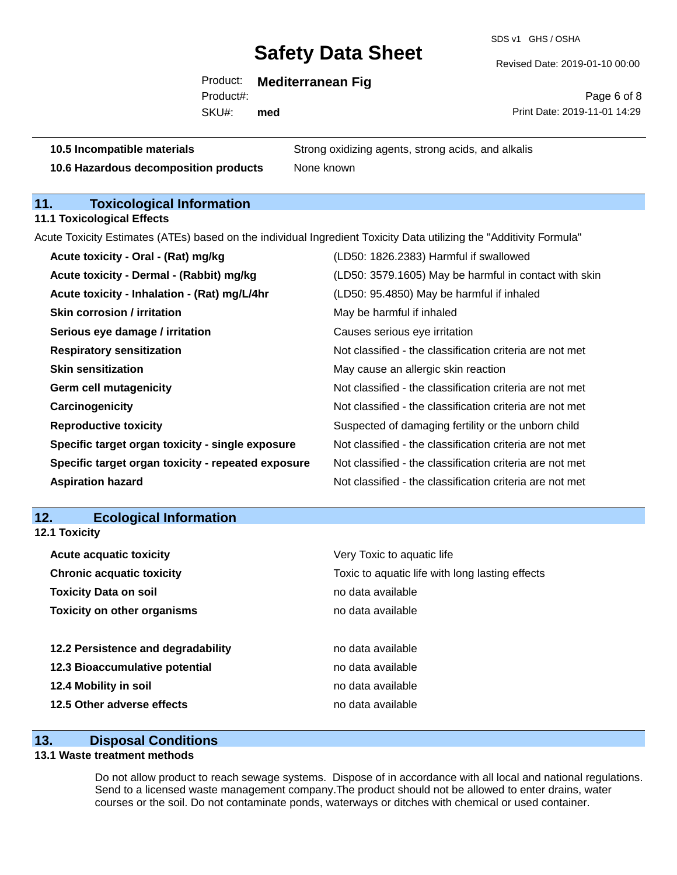SDS v1 GHS / OSHA

Revised Date: 2019-01-10 00:00

Product: **Mediterranean Fig**

SKU#: Product#: **med**

Page 6 of 8 Print Date: 2019-11-01 14:29

**10.5 Incompatible materials** Strong oxidizing agents, strong acids, and alkalis **10.6 Hazardous decomposition products** None known

## **11. Toxicological Information**

**11.1 Toxicological Effects**

Acute Toxicity Estimates (ATEs) based on the individual Ingredient Toxicity Data utilizing the "Additivity Formula"

| Acute toxicity - Oral - (Rat) mg/kg                | (LD50: 1826.2383) Harmful if swallowed                   |
|----------------------------------------------------|----------------------------------------------------------|
| Acute toxicity - Dermal - (Rabbit) mg/kg           | (LD50: 3579.1605) May be harmful in contact with skin    |
| Acute toxicity - Inhalation - (Rat) mg/L/4hr       | (LD50: 95.4850) May be harmful if inhaled                |
| <b>Skin corrosion / irritation</b>                 | May be harmful if inhaled                                |
| Serious eye damage / irritation                    | Causes serious eye irritation                            |
| <b>Respiratory sensitization</b>                   | Not classified - the classification criteria are not met |
| <b>Skin sensitization</b>                          | May cause an allergic skin reaction                      |
| <b>Germ cell mutagenicity</b>                      | Not classified - the classification criteria are not met |
| Carcinogenicity                                    | Not classified - the classification criteria are not met |
| <b>Reproductive toxicity</b>                       | Suspected of damaging fertility or the unborn child      |
| Specific target organ toxicity - single exposure   | Not classified - the classification criteria are not met |
| Specific target organ toxicity - repeated exposure | Not classified - the classification criteria are not met |
| <b>Aspiration hazard</b>                           | Not classified - the classification criteria are not met |

#### **12. Ecological Information 12.1 Toxicity**

| <b>Acute acquatic toxicity</b>     | Very Toxic to aquatic life                      |  |  |  |
|------------------------------------|-------------------------------------------------|--|--|--|
| <b>Chronic acquatic toxicity</b>   | Toxic to aquatic life with long lasting effects |  |  |  |
| <b>Toxicity Data on soil</b>       | no data available                               |  |  |  |
| <b>Toxicity on other organisms</b> | no data available                               |  |  |  |
|                                    |                                                 |  |  |  |
| 12.2 Persistence and degradability | no data available                               |  |  |  |
| 12.3 Bioaccumulative potential     | no data available                               |  |  |  |
| 12.4 Mobility in soil              | no data available                               |  |  |  |
| 12.5 Other adverse effects         | no data available                               |  |  |  |
|                                    |                                                 |  |  |  |

#### **13. Disposal Conditions**

### **13.1 Waste treatment methods**

Do not allow product to reach sewage systems. Dispose of in accordance with all local and national regulations. Send to a licensed waste management company.The product should not be allowed to enter drains, water courses or the soil. Do not contaminate ponds, waterways or ditches with chemical or used container.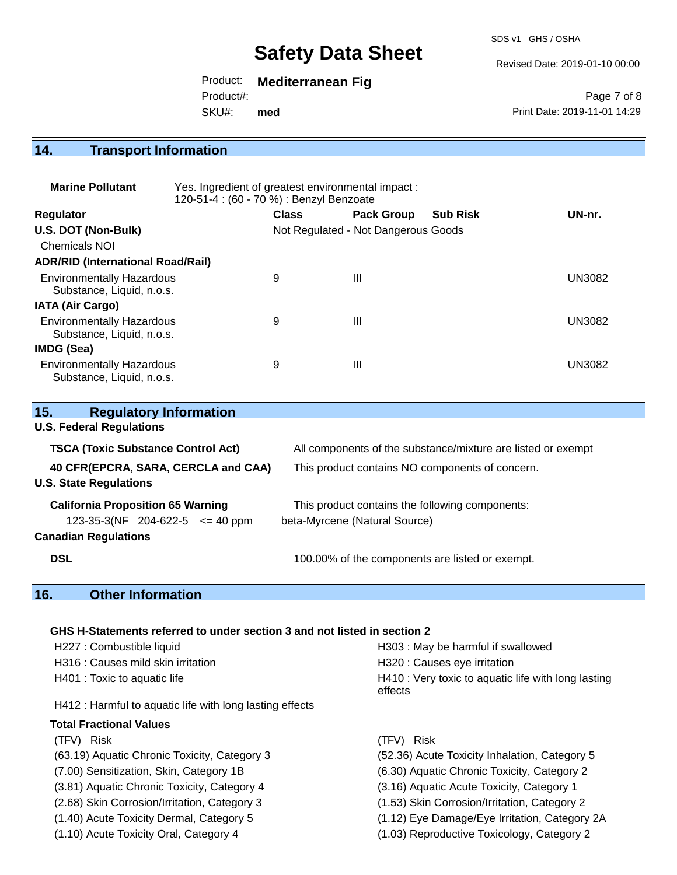SDS v1 GHS / OSHA

#### Revised Date: 2019-01-10 00:00

Product: **Mediterranean Fig**

Product#:

SKU#: **med**

Page 7 of 8 Print Date: 2019-11-01 14:29

## **14. Transport Information**

| <b>Marine Pollutant</b>                                       | Yes. Ingredient of greatest environmental impact:<br>120-51-4 : (60 - 70 %) : Benzyl Benzoate |              |                                     |                 |        |
|---------------------------------------------------------------|-----------------------------------------------------------------------------------------------|--------------|-------------------------------------|-----------------|--------|
| <b>Regulator</b>                                              |                                                                                               | <b>Class</b> | <b>Pack Group</b>                   | <b>Sub Risk</b> | UN-nr. |
| U.S. DOT (Non-Bulk)                                           |                                                                                               |              | Not Regulated - Not Dangerous Goods |                 |        |
| <b>Chemicals NOI</b>                                          |                                                                                               |              |                                     |                 |        |
| <b>ADR/RID (International Road/Rail)</b>                      |                                                                                               |              |                                     |                 |        |
| <b>Environmentally Hazardous</b><br>Substance, Liquid, n.o.s. |                                                                                               | 9            | Ш                                   |                 | UN3082 |
| <b>IATA (Air Cargo)</b>                                       |                                                                                               |              |                                     |                 |        |
| <b>Environmentally Hazardous</b><br>Substance, Liquid, n.o.s. |                                                                                               | 9            | Ш                                   |                 | UN3082 |
| IMDG (Sea)                                                    |                                                                                               |              |                                     |                 |        |
| <b>Environmentally Hazardous</b><br>Substance, Liquid, n.o.s. |                                                                                               | 9            | Ш                                   |                 | UN3082 |

| <b>Regulatory Information</b><br>15.                                                                              |                                                                                  |  |  |
|-------------------------------------------------------------------------------------------------------------------|----------------------------------------------------------------------------------|--|--|
| <b>U.S. Federal Regulations</b>                                                                                   |                                                                                  |  |  |
| <b>TSCA (Toxic Substance Control Act)</b>                                                                         | All components of the substance/mixture are listed or exempt                     |  |  |
| 40 CFR(EPCRA, SARA, CERCLA and CAA)<br><b>U.S. State Regulations</b>                                              | This product contains NO components of concern.                                  |  |  |
| <b>California Proposition 65 Warning</b><br>$123-35-3(NF)$ 204-622-5 $\leq$ 40 ppm<br><b>Canadian Regulations</b> | This product contains the following components:<br>beta-Myrcene (Natural Source) |  |  |
| <b>DSL</b>                                                                                                        | 100.00% of the components are listed or exempt.                                  |  |  |

## **16. Other Information**

#### **GHS H-Statements referred to under section 3 and not listed in section 2**

| H227 : Combustible liquid                                | H303 : May be harmful if swallowed                             |
|----------------------------------------------------------|----------------------------------------------------------------|
| H316 : Causes mild skin irritation                       | H320 : Causes eye irritation                                   |
| H401 : Toxic to aquatic life                             | H410 : Very toxic to aquatic life with long lasting<br>effects |
| H412 : Harmful to aquatic life with long lasting effects |                                                                |
| <b>Total Fractional Values</b>                           |                                                                |
| (TFV) Risk                                               | (TFV) Risk                                                     |
| (63.19) Aquatic Chronic Toxicity, Category 3             | (52.36) Acute Toxicity Inhalation, Category 5                  |
| (7.00) Sensitization, Skin, Category 1B                  | (6.30) Aquatic Chronic Toxicity, Category 2                    |
| (3.81) Aquatic Chronic Toxicity, Category 4              | (3.16) Aquatic Acute Toxicity, Category 1                      |
| (2.68) Skin Corrosion/Irritation, Category 3             | (1.53) Skin Corrosion/Irritation, Category 2                   |
| (1.40) Acute Toxicity Dermal, Category 5                 | (1.12) Eye Damage/Eye Irritation, Category 2A                  |
| (1.10) Acute Toxicity Oral, Category 4                   | (1.03) Reproductive Toxicology, Category 2                     |
|                                                          |                                                                |